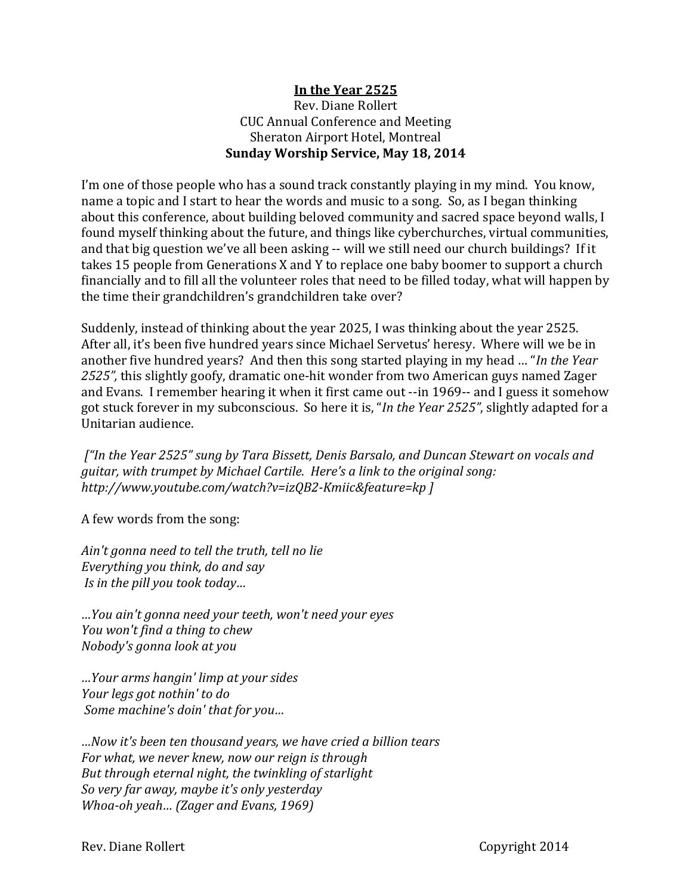## **In the Year 2525**

## Rev. Diane Rollert CUC Annual Conference and Meeting Sheraton Airport Hotel, Montreal **Sunday Worship Service, May 18, 2014**

I'm one of those people who has a sound track constantly playing in my mind. You know, name a topic and I start to hear the words and music to a song. So, as I began thinking about this conference, about building beloved community and sacred space beyond walls, I found myself thinking about the future, and things like cyberchurches, virtual communities, and that big question we've all been asking -- will we still need our church buildings? If it takes 15 people from Generations X and Y to replace one baby boomer to support a church financially and to fill all the volunteer roles that need to be filled today, what will happen by the time their grandchildren's grandchildren take over?

Suddenly, instead of thinking about the year 2025, I was thinking about the year 2525. After all, it's been five hundred years since Michael Servetus' heresy. Where will we be in another five hundred years? And then this song started playing in my head ... "In the Year 2525", this slightly goofy, dramatic one-hit wonder from two American guys named Zager and Evans. I remember hearing it when it first came out --in 1969-- and I guess it somehow got stuck forever in my subconscious. So here it is, "*In the Year 2525"*, slightly adapted for a Unitarian audience.

 *["In the Year 2525" sung by Tara Bissett, Denis Barsalo, and Duncan Stewart on vocals and*  guitar, with trumpet by Michael Cartile. Here's a link to the original song: *http://www.youtube.com/watch?v=izQB2-Kmiic&feature=kp ]*

A few words from the song:

Ain't gonna need to tell the truth, tell no lie *Everything you think, do and sav Is in the pill you took today...* 

*…You ain't gonna need your teeth, won't need your eyes You won't find a thing to chew Nobody's gonna look at you*

*…Your arms hangin' limp at your sides Your legs got nothin' to do Some machine's doin' that for you...* 

*…Now it's been ten thousand years, we have cried a billion tears For* what, we never knew, now our reign is through *But through eternal night, the twinkling of starlight So very far away, maybe it's only yesterday Whoa-oh yeah...* (Zager and Evans, 1969)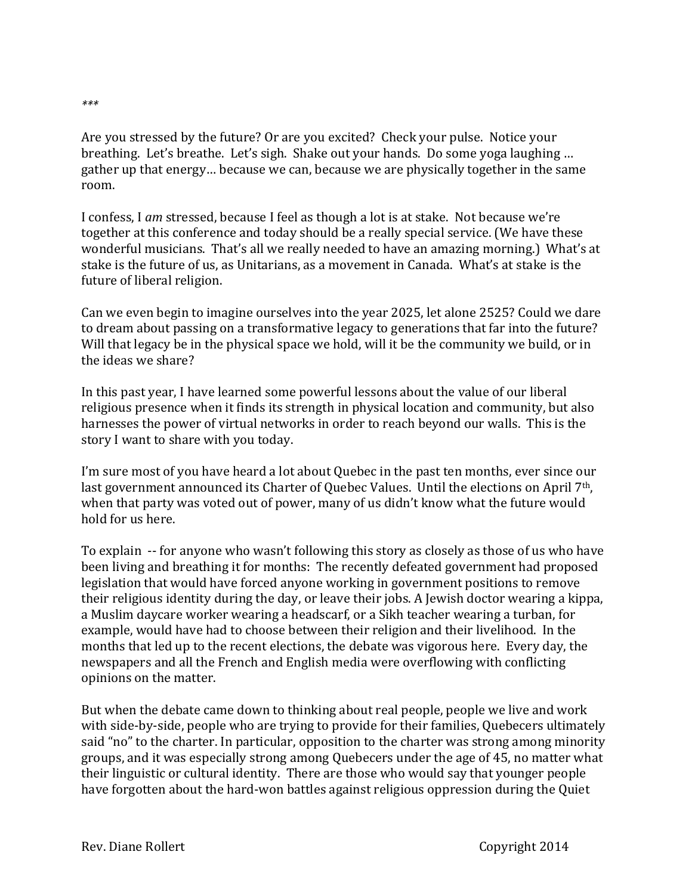## Are you stressed by the future? Or are you excited? Check your pulse. Notice your breathing. Let's breathe. Let's sigh. Shake out your hands. Do some yoga laughing ... gather up that energy... because we can, because we are physically together in the same room.

I confess, I *am* stressed, because I feel as though a lot is at stake. Not because we're together at this conference and today should be a really special service. (We have these wonderful musicians. That's all we really needed to have an amazing morning.) What's at stake is the future of us, as Unitarians, as a movement in Canada. What's at stake is the future of liberal religion.

Can we even begin to imagine ourselves into the year 2025, let alone 2525? Could we dare to dream about passing on a transformative legacy to generations that far into the future? Will that legacy be in the physical space we hold, will it be the community we build, or in the ideas we share?

In this past year, I have learned some powerful lessons about the value of our liberal religious presence when it finds its strength in physical location and community, but also harnesses the power of virtual networks in order to reach beyond our walls. This is the story I want to share with you today.

I'm sure most of you have heard a lot about Ouebec in the past ten months, ever since our last government announced its Charter of Quebec Values. Until the elections on April 7<sup>th</sup>, when that party was voted out of power, many of us didn't know what the future would hold for us here.

To explain  $-$  for anyone who wasn't following this story as closely as those of us who have been living and breathing it for months: The recently defeated government had proposed legislation that would have forced anyone working in government positions to remove their religious identity during the day, or leave their jobs. A Jewish doctor wearing a kippa, a Muslim daycare worker wearing a headscarf, or a Sikh teacher wearing a turban, for example, would have had to choose between their religion and their livelihood. In the months that led up to the recent elections, the debate was vigorous here. Every day, the newspapers and all the French and English media were overflowing with conflicting opinions on the matter.

But when the debate came down to thinking about real people, people we live and work with side-by-side, people who are trying to provide for their families, Quebecers ultimately said "no" to the charter. In particular, opposition to the charter was strong among minority groups, and it was especially strong among Quebecers under the age of 45, no matter what their linguistic or cultural identity. There are those who would say that younger people have forgotten about the hard-won battles against religious oppression during the Quiet

*\*\*\**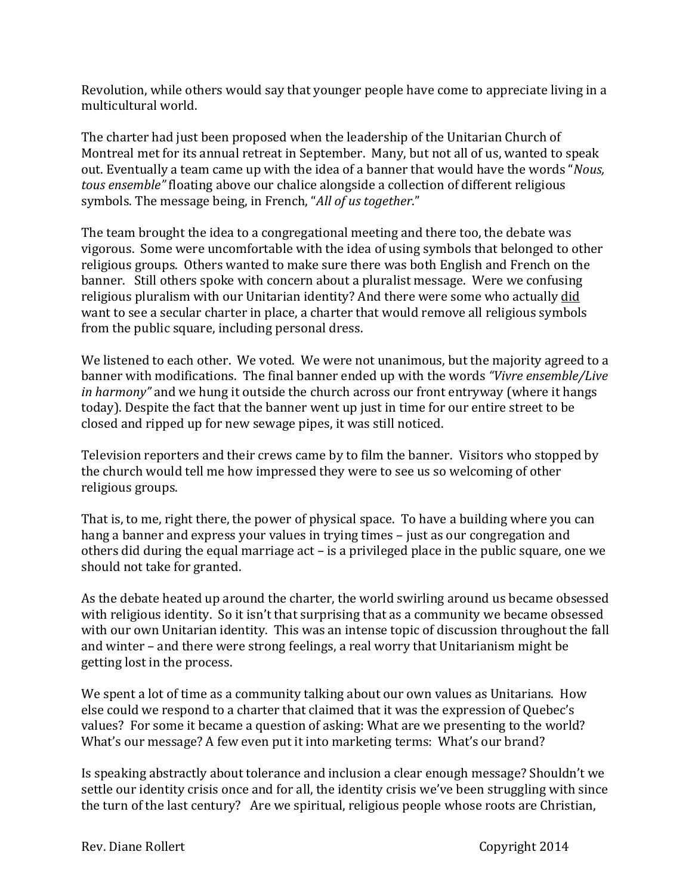Revolution, while others would say that younger people have come to appreciate living in a multicultural world.

The charter had just been proposed when the leadership of the Unitarian Church of Montreal met for its annual retreat in September. Many, but not all of us, wanted to speak out. Eventually a team came up with the idea of a banner that would have the words "*Nous*, *tous ensemble"* floating above our chalice alongside a collection of different religious symbols. The message being, in French, "*All of us together.*"

The team brought the idea to a congregational meeting and there too, the debate was vigorous. Some were uncomfortable with the idea of using symbols that belonged to other religious groups. Others wanted to make sure there was both English and French on the banner. Still others spoke with concern about a pluralist message. Were we confusing religious pluralism with our Unitarian identity? And there were some who actually did want to see a secular charter in place, a charter that would remove all religious symbols from the public square, including personal dress.

We listened to each other. We voted. We were not unanimous, but the majority agreed to a banner with modifications. The final banner ended up with the words "Vivre ensemble/Live *in harmony*" and we hung it outside the church across our front entryway (where it hangs today). Despite the fact that the banner went up just in time for our entire street to be closed and ripped up for new sewage pipes, it was still noticed.

Television reporters and their crews came by to film the banner. Visitors who stopped by the church would tell me how impressed they were to see us so welcoming of other religious groups.

That is, to me, right there, the power of physical space. To have a building where you can hang a banner and express your values in trying times - just as our congregation and others did during the equal marriage  $act - is a$  privileged place in the public square, one we should not take for granted.

As the debate heated up around the charter, the world swirling around us became obsessed with religious identity. So it isn't that surprising that as a community we became obsessed with our own Unitarian identity. This was an intense topic of discussion throughout the fall and winter - and there were strong feelings, a real worry that Unitarianism might be getting lost in the process.

We spent a lot of time as a community talking about our own values as Unitarians. How else could we respond to a charter that claimed that it was the expression of Ouebec's values? For some it became a question of asking: What are we presenting to the world? What's our message? A few even put it into marketing terms: What's our brand?

Is speaking abstractly about tolerance and inclusion a clear enough message? Shouldn't we settle our identity crisis once and for all, the identity crisis we've been struggling with since the turn of the last century? Are we spiritual, religious people whose roots are Christian,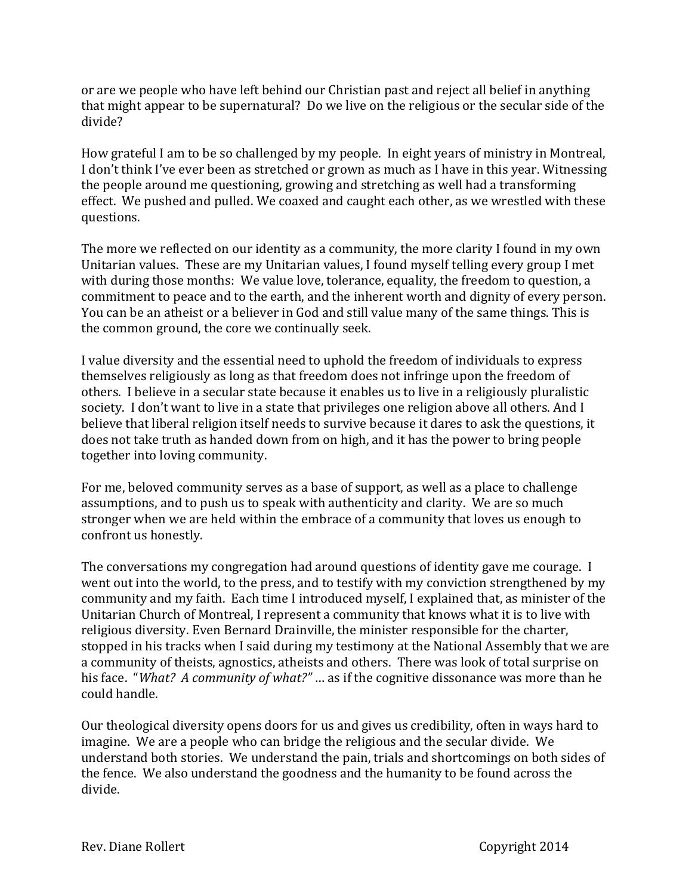or are we people who have left behind our Christian past and reject all belief in anything that might appear to be supernatural? Do we live on the religious or the secular side of the divide? 

How grateful I am to be so challenged by my people. In eight years of ministry in Montreal, I don't think I've ever been as stretched or grown as much as I have in this year. Witnessing the people around me questioning, growing and stretching as well had a transforming effect. We pushed and pulled. We coaxed and caught each other, as we wrestled with these questions. 

The more we reflected on our identity as a community, the more clarity I found in my own Unitarian values. These are my Unitarian values, I found myself telling every group I met with during those months: We value love, tolerance, equality, the freedom to question, a commitment to peace and to the earth, and the inherent worth and dignity of every person. You can be an atheist or a believer in God and still value many of the same things. This is the common ground, the core we continually seek.

I value diversity and the essential need to uphold the freedom of individuals to express themselves religiously as long as that freedom does not infringe upon the freedom of others. I believe in a secular state because it enables us to live in a religiously pluralistic society. I don't want to live in a state that privileges one religion above all others. And I believe that liberal religion itself needs to survive because it dares to ask the questions, it does not take truth as handed down from on high, and it has the power to bring people together into loving community.

For me, beloved community serves as a base of support, as well as a place to challenge assumptions, and to push us to speak with authenticity and clarity. We are so much stronger when we are held within the embrace of a community that loves us enough to confront us honestly.

The conversations my congregation had around questions of identity gave me courage. I went out into the world, to the press, and to testify with my conviction strengthened by my community and my faith. Each time I introduced myself, I explained that, as minister of the Unitarian Church of Montreal, I represent a community that knows what it is to live with religious diversity. Even Bernard Drainville, the minister responsible for the charter, stopped in his tracks when I said during my testimony at the National Assembly that we are a community of theists, agnostics, atheists and others. There was look of total surprise on his face. "*What?* A community of what?" ... as if the cognitive dissonance was more than he could handle.

Our theological diversity opens doors for us and gives us credibility, often in ways hard to imagine. We are a people who can bridge the religious and the secular divide. We understand both stories. We understand the pain, trials and shortcomings on both sides of the fence. We also understand the goodness and the humanity to be found across the divide.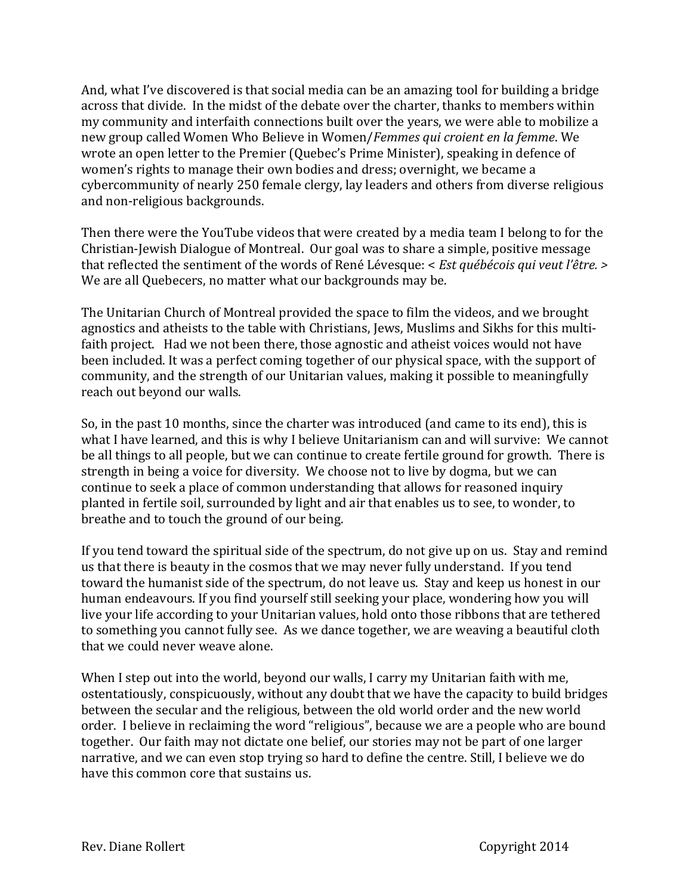And, what I've discovered is that social media can be an amazing tool for building a bridge across that divide. In the midst of the debate over the charter, thanks to members within my community and interfaith connections built over the years, we were able to mobilize a new group called Women Who Believe in Women/*Femmes qui croient en la femme*. We wrote an open letter to the Premier (Quebec's Prime Minister), speaking in defence of women's rights to manage their own bodies and dress; overnight, we became a cybercommunity of nearly 250 female clergy, lay leaders and others from diverse religious and non-religious backgrounds.

Then there were the YouTube videos that were created by a media team I belong to for the Christian-Jewish Dialogue of Montreal. Our goal was to share a simple, positive message that reflected the sentiment of the words of René Lévesque: < *Est québécois qui veut l'être.* > We are all Quebecers, no matter what our backgrounds may be.

The Unitarian Church of Montreal provided the space to film the videos, and we brought agnostics and atheists to the table with Christians, Jews, Muslims and Sikhs for this multifaith project. Had we not been there, those agnostic and atheist voices would not have been included. It was a perfect coming together of our physical space, with the support of community, and the strength of our Unitarian values, making it possible to meaningfully reach out beyond our walls.

So, in the past 10 months, since the charter was introduced (and came to its end), this is what I have learned, and this is why I believe Unitarianism can and will survive: We cannot be all things to all people, but we can continue to create fertile ground for growth. There is strength in being a voice for diversity. We choose not to live by dogma, but we can continue to seek a place of common understanding that allows for reasoned inquiry planted in fertile soil, surrounded by light and air that enables us to see, to wonder, to breathe and to touch the ground of our being.

If you tend toward the spiritual side of the spectrum, do not give up on us. Stay and remind us that there is beauty in the cosmos that we may never fully understand. If you tend toward the humanist side of the spectrum, do not leave us. Stay and keep us honest in our human endeavours. If you find yourself still seeking your place, wondering how you will live your life according to your Unitarian values, hold onto those ribbons that are tethered to something you cannot fully see. As we dance together, we are weaving a beautiful cloth that we could never weave alone.

When I step out into the world, beyond our walls, I carry my Unitarian faith with me, ostentatiously, conspicuously, without any doubt that we have the capacity to build bridges between the secular and the religious, between the old world order and the new world order. I believe in reclaiming the word "religious", because we are a people who are bound together. Our faith may not dictate one belief, our stories may not be part of one larger narrative, and we can even stop trying so hard to define the centre. Still, I believe we do have this common core that sustains us.